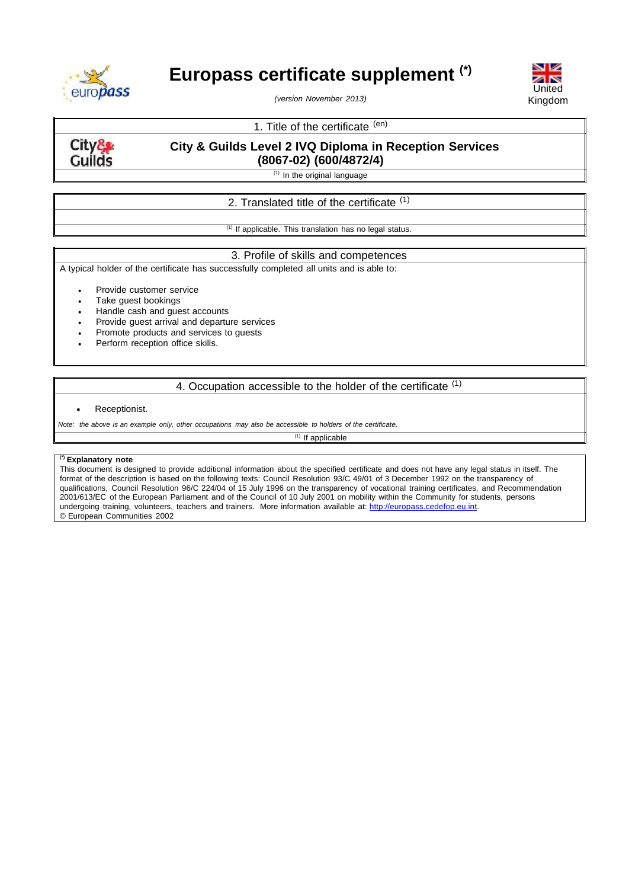

# **Europass certificate supplement (\*)**

*(version November 2013)*



# 1. Title of the certificate (en)

City& **Guilds** 

# **City & Guilds Level 2 IVQ Diploma in Reception Services (8067-02) (600/4872/4)**

 $(1)$  In the original language

# 2. Translated title of the certificate <sup>(1)</sup>

 $(1)$  If applicable. This translation has no legal status.

### 3. Profile of skills and competences

A typical holder of the certificate has successfully completed all units and is able to:

- Provide customer service
- Take guest bookings
- Handle cash and guest accounts
- Provide guest arrival and departure services
- Promote products and services to guests
- Perform reception office skills.

## 4. Occupation accessible to the holder of the certificate (1)

#### Receptionist.

Note: the above is an example only, other occupations may also be accessible to holders of the certificate.

 $(1)$  If applicable

### **(\*) Explanatory note**

This document is designed to provide additional information about the specified certificate and does not have any legal status in itself. The format of the description is based on the following texts: Council Resolution 93/C 49/01 of 3 December 1992 on the transparency of qualifications, Council Resolution 96/C 224/04 of 15 July 1996 on the transparency of vocational training certificates, and Recommendation 2001/613/EC of the European Parliament and of the Council of 10 July 2001 on mobility within the Community for students, persons undergoing training, volunteers, teachers and trainers. More information available at: [http://europass.cedefop.eu.int.](http://europass.cedefop.eu.int/) © European Communities 2002